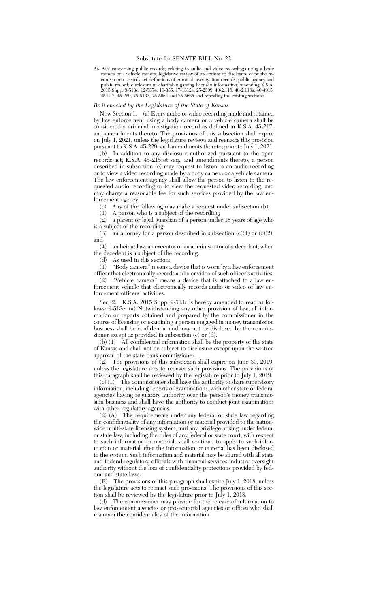## Substitute for SENATE BILL No. 22

AN ACT concerning public records; relating to audio and video recordings using a body camera or a vehicle camera; legislative review of exceptions to disclosure of public records; open records act definitions of criminal investigation records, public agency and public record; disclosure of charitable gaming licensee information; amending K.S.A. 2015 Supp. 9-513c, 12-5374, 16-335, 17-1312e, 25-2309, 40-2,118, 40-2,118a, 40-4913, 45-217, 45-229, 75-5133, 75-5664 and 75-5665 and repealing the existing sections.

## *Be it enacted by the Legislature of the State of Kansas:*

New Section 1. (a) Every audio or video recording made and retained by law enforcement using a body camera or a vehicle camera shall be considered a criminal investigation record as defined in K.S.A. 45-217, and amendments thereto. The provisions of this subsection shall expire on July 1, 2021, unless the legislature reviews and reenacts this provision pursuant to K.S.A. 45-229, and amendments thereto, prior to July 1, 2021.

(b) In addition to any disclosure authorized pursuant to the open records act, K.S.A. 45-215 et seq., and amendments thereto, a person described in subsection (c) may request to listen to an audio recording or to view a video recording made by a body camera or a vehicle camera. The law enforcement agency shall allow the person to listen to the requested audio recording or to view the requested video recording, and may charge a reasonable fee for such services provided by the law enforcement agency.

(c) Any of the following may make a request under subsection (b):

(1) A person who is a subject of the recording; (2) a parent or legal guardian of a person under 18 years of age who

is a subject of the recording;<br>(3) an attorney for a per an attorney for a person described in subsection  $(c)(1)$  or  $(c)(2)$ ; and

(4) an heir at law, an executor or an administrator of a decedent, when the decedent is a subject of the recording.

(d) As used in this section:

(1) ''Body camera'' means a device that is worn by a law enforcement officer that electronically records audio or video of such officer's activities.

(2) ''Vehicle camera'' means a device that is attached to a law enforcement vehicle that electronically records audio or video of law enforcement officers' activities.

Sec. 2. K.S.A. 2015 Supp. 9-513c is hereby amended to read as follows: 9-513c. (a) Notwithstanding any other provision of law, all information or reports obtained and prepared by the commissioner in the course of licensing or examining a person engaged in money transmission business shall be confidential and may not be disclosed by the commissioner except as provided in subsection (c) or (d).

(b) (1) All confidential information shall be the property of the state of Kansas and shall not be subject to disclosure except upon the written approval of the state bank commissioner.

(2) The provisions of this subsection shall expire on June 30, 2019, unless the legislature acts to reenact such provisions. The provisions of this paragraph shall be reviewed by the legislature prior to July 1, 2019.

(c) (1) The commissioner shall have the authority to share supervisory information, including reports of examinations, with other state or federal agencies having regulatory authority over the person's money transmission business and shall have the authority to conduct joint examinations with other regulatory agencies.

(2) (A) The requirements under any federal or state law regarding the confidentiality of any information or material provided to the nationwide multi-state licensing system, and any privilege arising under federal or state law, including the rules of any federal or state court, with respect to such information or material, shall continue to apply to such information or material after the information or material has been disclosed to the system. Such information and material may be shared with all state and federal regulatory officials with financial services industry oversight authority without the loss of confidentiality protections provided by federal and state laws.

(B) The provisions of this paragraph shall expire July 1, 2018, unless the legislature acts to reenact such provisions. The provisions of this section shall be reviewed by the legislature prior to July 1, 2018.

(d) The commissioner may provide for the release of information to law enforcement agencies or prosecutorial agencies or offices who shall maintain the confidentiality of the information.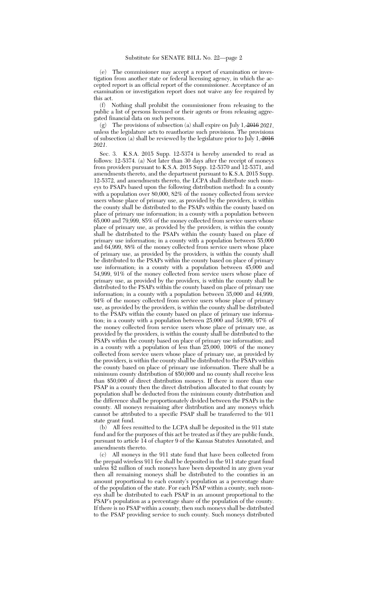(e) The commissioner may accept a report of examination or investigation from another state or federal licensing agency, in which the accepted report is an official report of the commissioner. Acceptance of an examination or investigation report does not waive any fee required by this act.

(f) Nothing shall prohibit the commissioner from releasing to the public a list of persons licensed or their agents or from releasing aggregated financial data on such persons.

(g) The provisions of subsection (a) shall expire on July 1, 2016 *2021*, unless the legislature acts to reauthorize such provisions. The provisions of subsection (a) shall be reviewed by the legislature prior to July  $1, \frac{2016}{100}$ *2021*.

Sec. 3. K.S.A. 2015 Supp. 12-5374 is hereby amended to read as follows: 12-5374. (a) Not later than 30 days after the receipt of moneys from providers pursuant to K.S.A. 2015 Supp. 12-5370 and 12-5371, and amendments thereto, and the department pursuant to K.S.A. 2015 Supp. 12-5372, and amendments thereto, the LCPA shall distribute such moneys to PSAPs based upon the following distribution method: In a county with a population over 80,000, 82% of the money collected from service users whose place of primary use, as provided by the providers, is within the county shall be distributed to the PSAPs within the county based on place of primary use information; in a county with a population between 65,000 and 79,999, 85% of the money collected from service users whose place of primary use, as provided by the providers, is within the county shall be distributed to the PSAPs within the county based on place of primary use information; in a county with a population between 55,000 and 64,999, 88% of the money collected from service users whose place of primary use, as provided by the providers, is within the county shall be distributed to the PSAPs within the county based on place of primary use information; in a county with a population between 45,000 and 54,999, 91% of the money collected from service users whose place of primary use, as provided by the providers, is within the county shall be distributed to the PSAPs within the county based on place of primary use information; in a county with a population between 35,000 and 44,999, 94% of the money collected from service users whose place of primary use, as provided by the providers, is within the county shall be distributed to the PSAPs within the county based on place of primary use information; in a county with a population between  $25,000$  and  $34,999,97\%$  of the money collected from service users whose place of primary use, as provided by the providers, is within the county shall be distributed to the PSAPs within the county based on place of primary use information; and in a county with a population of less than 25,000, 100% of the money collected from service users whose place of primary use, as provided by the providers, is within the county shall be distributed to the PSAPs within the county based on place of primary use information. There shall be a minimum county distribution of \$50,000 and no county shall receive less than \$50,000 of direct distribution moneys. If there is more than one PSAP in a county then the direct distribution allocated to that county by population shall be deducted from the minimum county distribution and the difference shall be proportionately divided between the PSAPs in the county. All moneys remaining after distribution and any moneys which cannot be attributed to a specific PSAP shall be transferred to the 911 state grant fund.

(b) All fees remitted to the LCPA shall be deposited in the 911 state fund and for the purposes of this act be treated as if they are public funds, pursuant to article 14 of chapter 9 of the Kansas Statutes Annotated, and amendments thereto.

(c) All moneys in the 911 state fund that have been collected from the prepaid wireless 911 fee shall be deposited in the 911 state grant fund unless \$2 million of such moneys have been deposited in any given year then all remaining moneys shall be distributed to the counties in an amount proportional to each county's population as a percentage share of the population of the state. For each PSAP within a county, such moneys shall be distributed to each PSAP in an amount proportional to the PSAP's population as a percentage share of the population of the county. If there is no PSAP within a county, then such moneys shall be distributed to the PSAP providing service to such county. Such moneys distributed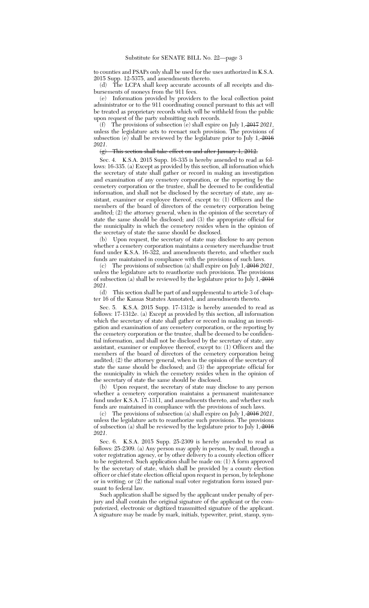to counties and PSAPs only shall be used for the uses authorized in K.S.A. 2015 Supp. 12-5375, and amendments thereto.

(d) The LCPA shall keep accurate accounts of all receipts and disbursements of moneys from the 911 fees.

(e) Information provided by providers to the local collection point administrator or to the 911 coordinating council pursuant to this act will be treated as proprietary records which will be withheld from the public upon request of the party submitting such records.

(f) The provisions of subsection (e) shall expire on July 1, 2017 *2021*, unless the legislature acts to reenact such provision. The provisions of subsection (e) shall be reviewed by the legislature prior to July  $1, \frac{2016}{1}$ *2021*.

## (g) This section shall take effect on and after January 1, 2012.

Sec. 4. K.S.A. 2015 Supp. 16-335 is hereby amended to read as follows: 16-335. (a) Except as provided by this section, all information which the secretary of state shall gather or record in making an investigation and examination of any cemetery corporation, or the reporting by the cemetery corporation or the trustee, shall be deemed to be confidential information, and shall not be disclosed by the secretary of state, any assistant, examiner or employee thereof, except to: (1) Officers and the members of the board of directors of the cemetery corporation being audited; (2) the attorney general, when in the opinion of the secretary of state the same should be disclosed; and (3) the appropriate official for the municipality in which the cemetery resides when in the opinion of the secretary of state the same should be disclosed.

(b) Upon request, the secretary of state may disclose to any person whether a cemetery corporation maintains a cemetery merchandise trust fund under K.S.A. 16-322, and amendments thereto, and whether such funds are maintained in compliance with the provisions of such laws.

(c) The provisions of subsection (a) shall expire on July 1, 2016 *2021*, unless the legislature acts to reauthorize such provisions. The provisions of subsection (a) shall be reviewed by the legislature prior to July 1,  $\frac{2016}{100}$ *2021*.

(d) This section shall be part of and supplemental to article 3 of chapter 16 of the Kansas Statutes Annotated, and amendments thereto.

Sec. 5. K.S.A. 2015 Supp. 17-1312e is hereby amended to read as follows: 17-1312e. (a) Except as provided by this section, all information which the secretary of state shall gather or record in making an investigation and examination of any cemetery corporation, or the reporting by the cemetery corporation or the trustee, shall be deemed to be confidential information, and shall not be disclosed by the secretary of state, any assistant, examiner or employee thereof, except to: (1) Officers and the members of the board of directors of the cemetery corporation being audited; (2) the attorney general, when in the opinion of the secretary of state the same should be disclosed; and (3) the appropriate official for the municipality in which the cemetery resides when in the opinion of the secretary of state the same should be disclosed.

(b) Upon request, the secretary of state may disclose to any person whether a cemetery corporation maintains a permanent maintenance fund under K.S.A. 17-1311, and amendments thereto, and whether such funds are maintained in compliance with the provisions of such laws.

(c) The provisions of subsection (a) shall expire on July 1, 2016 *2021*, unless the legislature acts to reauthorize such provisions. The provisions of subsection (a) shall be reviewed by the legislature prior to July 1, 2016 *2021*.

Sec. 6. K.S.A. 2015 Supp. 25-2309 is hereby amended to read as follows: 25-2309. (a) Any person may apply in person, by mail, through a voter registration agency, or by other delivery to a county election officer to be registered. Such application shall be made on: (1) A form approved by the secretary of state, which shall be provided by a county election officer or chief state election official upon request in person, by telephone or in writing; or (2) the national mail voter registration form issued pursuant to federal law.

Such application shall be signed by the applicant under penalty of perjury and shall contain the original signature of the applicant or the computerized, electronic or digitized transmitted signature of the applicant. A signature may be made by mark, initials, typewriter, print, stamp, sym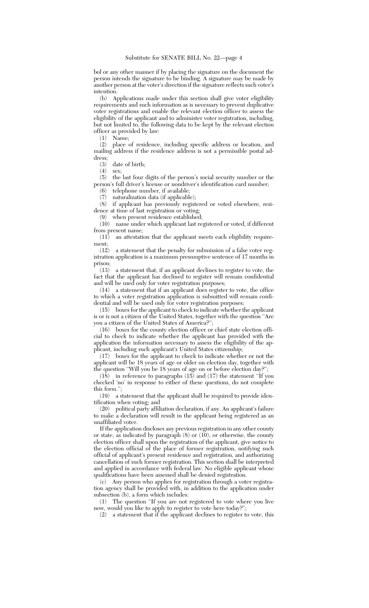bol or any other manner if by placing the signature on the document the person intends the signature to be binding. A signature may be made by another person at the voter's direction if the signature reflects such voter's intention.

(b) Applications made under this section shall give voter eligibility requirements and such information as is necessary to prevent duplicative voter registrations and enable the relevant election officer to assess the eligibility of the applicant and to administer voter registration, including, but not limited to, the following data to be kept by the relevant election officer as provided by law:

(1) Name;

(2) place of residence, including specific address or location, and mailing address if the residence address is not a permissible postal address;

(3) date of birth;<br>(4) sex.

(4) sex;<br>(5) the the last four digits of the person's social security number or the person's full driver's license or nondriver's identification card number;

telephone number, if available:

 $(7)$  naturalization data (if applicable);<br> $(8)$  if applicant has previously regist

if applicant has previously registered or voted elsewhere, residence at time of last registration or voting;

(9) when present residence established;

(10) name under which applicant last registered or voted, if different from present name;

(11) an attestation that the applicant meets each eligibility requirement;

(12) a statement that the penalty for submission of a false voter registration application is a maximum presumptive sentence of 17 months in prison;

(13) a statement that, if an applicant declines to register to vote, the fact that the applicant has declined to register will remain confidential and will be used only for voter registration purposes;

(14) a statement that if an applicant does register to vote, the office to which a voter registration application is submitted will remain confidential and will be used only for voter registration purposes;

(15) boxes for the applicant to check to indicate whether the applicant is or is not a citizen of the United States, together with the question ''Are

you a citizen of the United States of America?";<br>(16) boxes for the county election officer or boxes for the county election officer or chief state election official to check to indicate whether the applicant has provided with the application the information necessary to assess the eligibility of the applicant, including such applicant's United States citizenship;

(17) boxes for the applicant to check to indicate whether or not the applicant will be 18 years of age or older on election day, together with the question ''Will you be 18 years of age on or before election day?'';

 $(18)$  in reference to paragraphs  $(15)$  and  $(17)$  the statement "If you checked 'no' in response to either of these questions, do not complete this form.'';

(19) a statement that the applicant shall be required to provide identification when voting; and

(20) political party affiliation declaration, if any. An applicant's failure to make a declaration will result in the applicant being registered as an unaffiliated voter.

If the application discloses any previous registration in any other county or state, as indicated by paragraph  $(8)$  or  $(10)$ , or otherwise, the county election officer shall upon the registration of the applicant, give notice to the election official of the place of former registration, notifying such official of applicant's present residence and registration, and authorizing cancellation of such former registration. This section shall be interpreted and applied in accordance with federal law. No eligible applicant whose qualifications have been assessed shall be denied registration.

(c) Any person who applies for registration through a voter registration agency shall be provided with, in addition to the application under subsection (b), a form which includes:

(1) The question ''If you are not registered to vote where you live now, would you like to apply to register to vote here today?"

(2) a statement that if the applicant declines to register to vote, this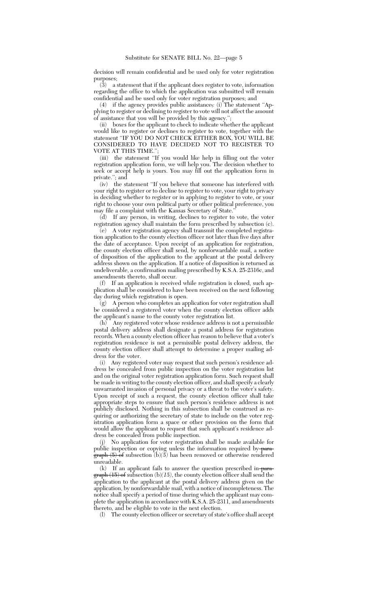decision will remain confidential and be used only for voter registration purposes;

 $(3)$  a statement that if the applicant does register to vote, information regarding the office to which the application was submitted will remain confidential and be used only for voter registration purposes; and

(4) if the agency provides public assistance,*:* (i) The statement ''Applying to register or declining to register to vote will not affect the amount of assistance that you will be provided by this agency.'

(ii) boxes for the applicant to check to indicate whether the applicant would like to register or declines to register to vote, together with the statement ''IF YOU DO NOT CHECK EITHER BOX, YOU WILL BE CONSIDERED TO HAVE DECIDED NOT TO REGISTER TO VOTE AT THIS TIME."

(iii) the statement ''If you would like help in filling out the voter registration application form, we will help you. The decision whether to seek or accept help is yours. You may fill out the application form in private.''; and

(iv) the statement ''If you believe that someone has interfered with your right to register or to decline to register to vote, your right to privacy in deciding whether to register or in applying to register to vote, or your right to choose your own political party or other political preference, you may file a complaint with the Kansas Secretary of State.''

(d) If any person, in writing, declines to register to vote, the voter registration agency shall maintain the form prescribed by subsection (c).

(e) A voter registration agency shall transmit the completed registration application to the county election officer not later than five days after the date of acceptance. Upon receipt of an application for registration, the county election officer shall send, by nonforwardable mail, a notice of disposition of the application to the applicant at the postal delivery address shown on the application. If a notice of disposition is returned as undeliverable, a confirmation mailing prescribed by K.S.A. 25-2316c, and amendments thereto, shall occur.

(f) If an application is received while registration is closed, such application shall be considered to have been received on the next following day during which registration is open.

(g) A person who completes an application for voter registration shall be considered a registered voter when the county election officer adds the applicant's name to the county voter registration list.

(h) Any registered voter whose residence address is not a permissible postal delivery address shall designate a postal address for registration records. When a county election officer has reason to believe that a voter's registration residence is not a permissible postal delivery address, the county election officer shall attempt to determine a proper mailing address for the voter.

(i) Any registered voter may request that such person's residence address be concealed from public inspection on the voter registration list and on the original voter registration application form. Such request shall be made in writing to the county election officer, and shall specify a clearly unwarranted invasion of personal privacy or a threat to the voter's safety. Upon receipt of such a request, the county election officer shall take appropriate steps to ensure that such person's residence address is not publicly disclosed. Nothing in this subsection shall be construed as requiring or authorizing the secretary of state to include on the voter registration application form a space or other provision on the form that would allow the applicant to request that such applicant's residence address be concealed from public inspection.

(j) No application for voter registration shall be made available for public inspection or copying unless the information required by paragraph (5) of subsection (b)*(5)* has been removed or otherwise rendered unreadable.

(k) If an applicant fails to answer the question prescribed in paragraph (15) of subsection (b)*(15)*, the county election officer shall send the application to the applicant at the postal delivery address given on the application, by nonforwardable mail, with a notice of incompleteness. The notice shall specify a period of time during which the applicant may complete the application in accordance with K.S.A. 25-2311, and amendments thereto, and be eligible to vote in the next election.

(l) The county election officer or secretary of state's office shall accept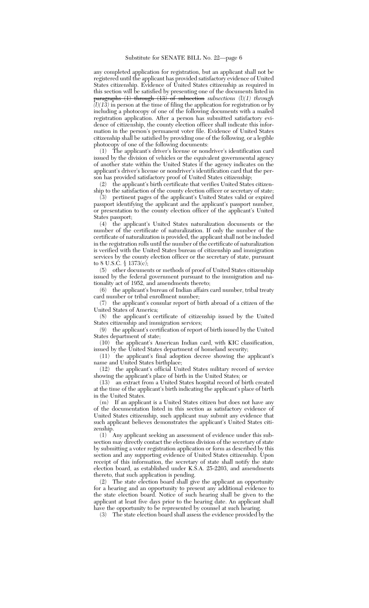any completed application for registration, but an applicant shall not be registered until the applicant has provided satisfactory evidence of United States citizenship. Evidence of United States citizenship as required in this section will be satisfied by presenting one of the documents listed in paragraphs (1) through (13) of subsection *subsections* (l)*(1) through (l)(13)* in person at the time of filing the application for registration or by including a photocopy of one of the following documents with a mailed registration application. After a person has submitted satisfactory evidence of citizenship, the county election officer shall indicate this information in the person's permanent voter file. Evidence of United States citizenship shall be satisfied by providing one of the following, or a legible photocopy of one of the following documents:

(1) The applicant's driver's license or nondriver's identification card issued by the division of vehicles or the equivalent governmental agency of another state within the United States if the agency indicates on the applicant's driver's license or nondriver's identification card that the person has provided satisfactory proof of United States citizenship;

(2) the applicant's birth certificate that verifies United States citizenship to the satisfaction of the county election officer or secretary of state;

(3) pertinent pages of the applicant's United States valid or expired passport identifying the applicant and the applicant's passport number, or presentation to the county election officer of the applicant's United States passport;

(4) the applicant's United States naturalization documents or the number of the certificate of naturalization. If only the number of the certificate of naturalization is provided, the applicant shall not be included in the registration rolls until the number of the certificate of naturalization is verified with the United States bureau of citizenship and immigration services by the county election officer or the secretary of state, pursuant to 8 U.S.C. § 1373(c);

(5) other documents or methods of proof of United States citizenship issued by the federal government pursuant to the immigration and nationality act of 1952, and amendments thereto;

(6) the applicant's bureau of Indian affairs card number, tribal treaty card number or tribal enrollment number;

(7) the applicant's consular report of birth abroad of a citizen of the United States of America;

(8) the applicant's certificate of citizenship issued by the United States citizenship and immigration services;

(9) the applicant's certification of report of birth issued by the United States department of state;

(10) the applicant's American Indian card, with KIC classification, issued by the United States department of homeland security;

(11) the applicant's final adoption decree showing the applicant's name and United States birthplace;

(12) the applicant's official United States military record of service showing the applicant's place of birth in the United States; or

(13) an extract from a United States hospital record of birth created at the time of the applicant's birth indicating the applicant's place of birth in the United States.

(m) If an applicant is a United States citizen but does not have any of the documentation listed in this section as satisfactory evidence of United States citizenship, such applicant may submit any evidence that such applicant believes demonstrates the applicant's United States citizenship.

(1) Any applicant seeking an assessment of evidence under this subsection may directly contact the elections division of the secretary of state by submitting a voter registration application or form as described by this section and any supporting evidence of United States citizenship. Upon receipt of this information, the secretary of state shall notify the state election board, as established under K.S.A. 25-2203, and amendments thereto, that such application is pending.

(2) The state election board shall give the applicant an opportunity for a hearing and an opportunity to present any additional evidence to the state election board. Notice of such hearing shall be given to the applicant at least five days prior to the hearing date. An applicant shall have the opportunity to be represented by counsel at such hearing.

(3) The state election board shall assess the evidence provided by the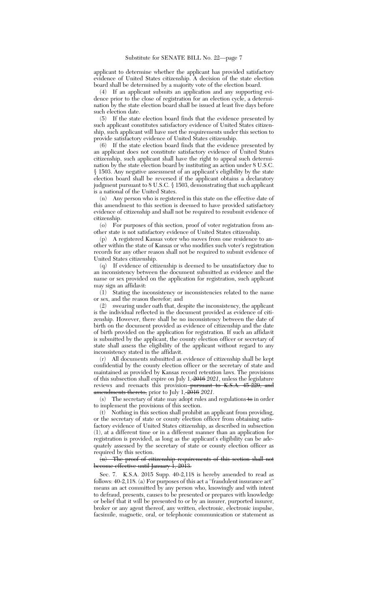applicant to determine whether the applicant has provided satisfactory evidence of United States citizenship. A decision of the state election board shall be determined by a majority vote of the election board.

(4) If an applicant submits an application and any supporting evidence prior to the close of registration for an election cycle, a determination by the state election board shall be issued at least five days before such election date.

(5) If the state election board finds that the evidence presented by such applicant constitutes satisfactory evidence of United States citizenship, such applicant will have met the requirements under this section to provide satisfactory evidence of United States citizenship.

(6) If the state election board finds that the evidence presented by an applicant does not constitute satisfactory evidence of United States citizenship, such applicant shall have the right to appeal such determination by the state election board by instituting an action under 8 U.S.C. § 1503. Any negative assessment of an applicant's eligibility by the state election board shall be reversed if the applicant obtains a declaratory judgment pursuant to 8 U.S.C. § 1503, demonstrating that such applicant is a national of the United States.

(n) Any person who is registered in this state on the effective date of this amendment to this section is deemed to have provided satisfactory evidence of citizenship and shall not be required to resubmit evidence of citizenship.

(o) For purposes of this section, proof of voter registration from another state is not satisfactory evidence of United States citizenship.

(p) A registered Kansas voter who moves from one residence to another within the state of Kansas or who modifies such voter's registration records for any other reason shall not be required to submit evidence of United States citizenship.

(q) If evidence of citizenship is deemed to be unsatisfactory due to an inconsistency between the document submitted as evidence and the name or sex provided on the application for registration, such applicant may sign an affidavit:

(1) Stating the inconsistency or inconsistencies related to the name or sex, and the reason therefor; and

(2) swearing under oath that, despite the inconsistency, the applicant is the individual reflected in the document provided as evidence of citizenship. However, there shall be no inconsistency between the date of birth on the document provided as evidence of citizenship and the date of birth provided on the application for registration. If such an affidavit is submitted by the applicant, the county election officer or secretary of state shall assess the eligibility of the applicant without regard to any inconsistency stated in the affidavit.

(r) All documents submitted as evidence of citizenship shall be kept confidential by the county election officer or the secretary of state and maintained as provided by Kansas record retention laws. The provisions of this subsection shall expire on July 1, 2016 *2021*, unless the legislature reviews and reenacts this provision<del>-pursuant to K.S.A. 45-229, and</del> amendments thereto, prior to July 1, 2016 *2021*.

(s) The secretary of state may adopt rules and regulations to in order to implement the provisions of this section.

(t) Nothing in this section shall prohibit an applicant from providing, or the secretary of state or county election officer from obtaining satisfactory evidence of United States citizenship, as described in subsection (1), at a different time or in a different manner than an application for registration is provided, as long as the applicant's eligibility can be adequately assessed by the secretary of state or county election officer as required by this section.

(u) The proof of citizenship requirements of this section shall not become effective until January 1, 2013.

Sec. 7. K.S.A. 2015 Supp. 40-2,118 is hereby amended to read as follows: 40-2,118. (a) For purposes of this act a ''fraudulent insurance act'' means an act committed by any person who, knowingly and with intent to defraud, presents, causes to be presented or prepares with knowledge or belief that it will be presented to or by an insurer, purported insurer, broker or any agent thereof, any written, electronic, electronic impulse, facsimile, magnetic, oral, or telephonic communication or statement as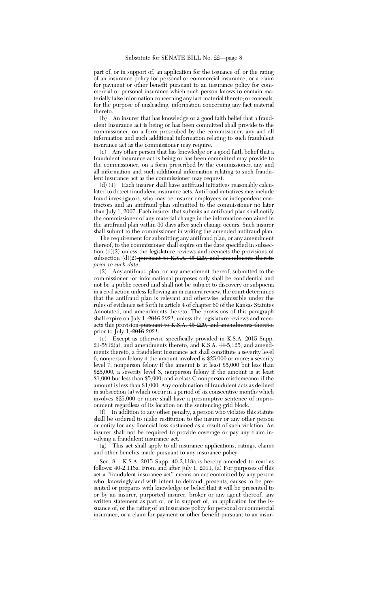part of, or in support of, an application for the issuance of, or the rating of an insurance policy for personal or commercial insurance, or a claim for payment or other benefit pursuant to an insurance policy for commercial or personal insurance which such person knows to contain materially false information concerning any fact material thereto; or conceals, for the purpose of misleading, information concerning any fact material thereto.

(b) An insurer that has knowledge or a good faith belief that a fraudulent insurance act is being or has been committed shall provide to the commissioner, on a form prescribed by the commissioner, any and all information and such additional information relating to such fraudulent insurance act as the commissioner may require.

(c) Any other person that has knowledge or a good faith belief that a fraudulent insurance act is being or has been committed may provide to the commissioner, on a form prescribed by the commissioner, any and all information and such additional information relating to such fraudulent insurance act as the commissioner may request.

(d) (1) Each insurer shall have antifraud initiatives reasonably calculated to detect fraudulent insurance acts. Antifraud initiatives may include fraud investigators, who may be insurer employees or independent contractors and an antifraud plan submitted to the commissioner no later than July 1, 2007. Each insurer that submits an antifraud plan shall notify the commissioner of any material change in the information contained in the antifraud plan within 30 days after such change occurs. Such insurer shall submit to the commissioner in writing the amended antifraud plan.

The requirement for submitting any antifraud plan, or any amendment thereof, to the commissioner shall expire on the date specified in subsection (d)(2) unless the legislature reviews and reenacts the provisions of subsection  $(d)(2)$  pursuant to K.S.A. 45-229, and amendments thereto *prior to such date*.

(2) Any antifraud plan, or any amendment thereof, submitted to the commissioner for informational purposes only shall be confidential and not be a public record and shall not be subject to discovery or subpoena in a civil action unless following an in camera review, the court determines that the antifraud plan is relevant and otherwise admissible under the rules of evidence set forth in article 4 of chapter 60 of the Kansas Statutes Annotated, and amendments thereto. The provisions of this paragraph shall expire on July 1, 2016 *2021*, unless the legislature reviews and reenacts this provision pursuant to K.S.A. 45-229, and amendments thereto, prior to July 1, 2016 *2021*.

(e) Except as otherwise specifically provided in K.S.A. 2015 Supp. 21-5812(a), and amendments thereto, and K.S.A. 44-5,125, and amendments thereto, a fraudulent insurance act shall constitute a severity level 6, nonperson felony if the amount involved is \$25,000 or more; a severity level 7, nonperson felony if the amount is at least \$5,000 but less than \$25,000; a severity level 8, nonperson felony if the amount is at least \$1,000 but less than \$5,000; and a class C nonperson misdemeanor if the amount is less than \$1,000. Any combination of fraudulent acts as defined in subsection (a) which occur in a period of six consecutive months which involves \$25,000 or more shall have a presumptive sentence of imprisonment regardless of its location on the sentencing grid block.

(f) In addition to any other penalty, a person who violates this statute shall be ordered to make restitution to the insurer or any other person or entity for any financial loss sustained as a result of such violation. An insurer shall not be required to provide coverage or pay any claim involving a fraudulent insurance act.

(g) This act shall apply to all insurance applications, ratings, claims and other benefits made pursuant to any insurance policy.

Sec. 8. K.S.A. 2015 Supp. 40-2,118a is hereby amended to read as follows: 40-2,118a. From and after July 1, 2011, (a) For purposes of this act a ''fraudulent insurance act'' means an act committed by any person who, knowingly and with intent to defraud, presents, causes to be presented or prepares with knowledge or belief that it will be presented to or by an insurer, purported insurer, broker or any agent thereof, any written statement as part of, or in support of, an application for the issuance of, or the rating of an insurance policy for personal or commercial insurance, or a claim for payment or other benefit pursuant to an insur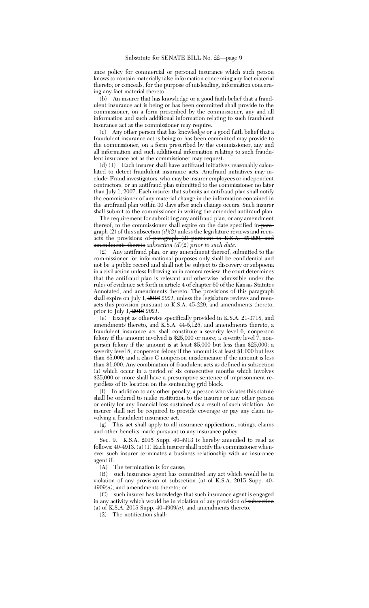ance policy for commercial or personal insurance which such person knows to contain materially false information concerning any fact material thereto; or conceals, for the purpose of misleading, information concerning any fact material thereto.

(b) An insurer that has knowledge or a good faith belief that a fraudulent insurance act is being or has been committed shall provide to the commissioner, on a form prescribed by the commissioner, any and all information and such additional information relating to such fraudulent insurance act as the commissioner may require.

(c) Any other person that has knowledge or a good faith belief that a fraudulent insurance act is being or has been committed may provide to the commissioner, on a form prescribed by the commissioner, any and all information and such additional information relating to such fraudulent insurance act as the commissioner may request.

(d) (1) Each insurer shall have antifraud initiatives reasonably calculated to detect fraudulent insurance acts. Antifraud initiatives may include: Fraud investigators, who may be insurer employees or independent contractors; or an antifraud plan submitted to the commissioner no later than July 1, 2007. Each insurer that submits an antifraud plan shall notify the commissioner of any material change in the information contained in the antifraud plan within 30 days after such change occurs. Such insurer shall submit to the commissioner in writing the amended antifraud plan.

The requirement for submitting any antifraud plan, or any amendment thereof, to the commissioner shall expire on the date specified in para $graph (2)$  of this subsection  $(d)(2)$  unless the legislature reviews and reenacts the provisions of paragraph (2) pursuant to K.S.A. 45-229, and amendments thereto *subsection (d)(2) prior to such date*.

(2) Any antifraud plan, or any amendment thereof, submitted to the commissioner for informational purposes only shall be confidential and not be a public record and shall not be subject to discovery or subpoena in a civil action unless following an in camera review, the court determines that the antifraud plan is relevant and otherwise admissible under the rules of evidence set forth in article 4 of chapter 60 of the Kansas Statutes Annotated, and amendments thereto. The provisions of this paragraph shall expire on July 1, 2016 *2021,* unless the legislature reviews and reenacts this provision<del>-pursuant to K.S.A. 45-229, and amendments thereto,</del> prior to July 1, 2016 *2021*.

(e) Except as otherwise specifically provided in K.S.A. 21-3718, and amendments thereto, and K.S.A. 44-5,125, and amendments thereto, a fraudulent insurance act shall constitute a severity level 6, nonperson felony if the amount involved is \$25,000 or more; a severity level  $\tilde{7}$ , nonperson felony if the amount is at least \$5,000 but less than \$25,000; a severity level 8, nonperson felony if the amount is at least \$1,000 but less than \$5,000; and a class C nonperson misdemeanor if the amount is less than \$1,000. Any combination of fraudulent acts as defined in subsection (a) which occur in a period of six consecutive months which involves \$25,000 or more shall have a presumptive sentence of imprisonment regardless of its location on the sentencing grid block.

(f) In addition to any other penalty, a person who violates this statute shall be ordered to make restitution to the insurer or any other person or entity for any financial loss sustained as a result of such violation. An insurer shall not be required to provide coverage or pay any claim involving a fraudulent insurance act.

(g) This act shall apply to all insurance applications, ratings, claims and other benefits made pursuant to any insurance policy.

Sec. 9. K.S.A. 2015 Supp. 40-4913 is hereby amended to read as follows: 40-4913. (a) (1) Each insurer shall notify the commissioner whenever such insurer terminates a business relationship with an insurance agent if:

(A) The termination is for cause;

(B) such insurance agent has committed any act which would be in violation of any provision of subsection (a) of K.S.A. 2015 Supp. 40-4909*(a)*, and amendments thereto; or

(C) such insurer has knowledge that such insurance agent is engaged in any activity which would be in violation of any provision of subsection (a) of K.S.A. 2015 Supp. 40-4909*(a)*, and amendments thereto.

(2) The notification shall: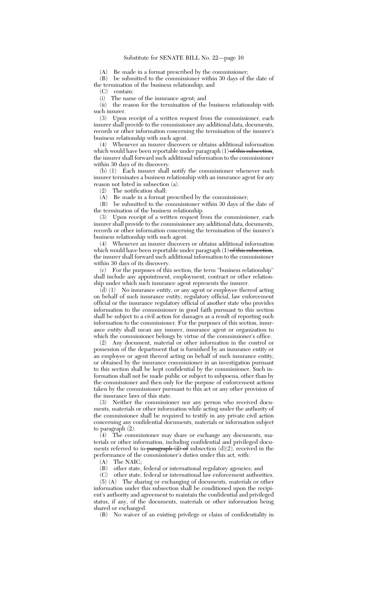(A) Be made in a format prescribed by the commissioner;

(B) be submitted to the commissioner within 30 days of the date of the termination of the business relationship; and

(C) contain:

(i) The name of the insurance agent; and

(ii) the reason for the termination of the business relationship with such insurer.

(3) Upon receipt of a written request from the commissioner, each insurer shall provide to the commissioner any additional data, documents, records or other information concerning the termination of the insurer's business relationship with such agent.

(4) Whenever an insurer discovers or obtains additional information which would have been reportable under paragraph (1) of this subsection, the insurer shall forward such additional information to the commissioner within 30 days of its discovery.

(b) (1) Each insurer shall notify the commissioner whenever such insurer terminates a business relationship with an insurance agent for any reason not listed in subsection (a).

(2) The notification shall:

(A) Be made in a format prescribed by the commissioner;

(B) be submitted to the commissioner within 30 days of the date of the termination of the business relationship.

(3) Upon receipt of a written request from the commissioner, each insurer shall provide to the commissioner any additional data, documents, records or other information concerning the termination of the insurer's business relationship with such agent.

(4) Whenever an insurer discovers or obtains additional information which would have been reportable under paragraph (1) of this subsection, the insurer shall forward such additional information to the commissioner within 30 days of its discovery.

(c) For the purposes of this section, the term ''business relationship'' shall include any appointment, employment, contract or other relationship under which such insurance agent represents the insurer.

 $(d)$  (1) No insurance entity, or any agent or employee thereof acting on behalf of such insurance entity, regulatory official, law enforcement official or the insurance regulatory official of another state who provides information to the commissioner in good faith pursuant to this section shall be subject to a civil action for damages as a result of reporting such information to the commissioner. For the purposes of this section, insurance entity shall mean any insurer, insurance agent or organization to which the commissioner belongs by virtue of the commissioner's office.

(2) Any document, material or other information in the control or possession of the department that is furnished by an insurance entity or an employee or agent thereof acting on behalf of such insurance entity, or obtained by the insurance commissioner in an investigation pursuant to this section shall be kept confidential by the commissioner. Such information shall not be made public or subject to subpoena, other than by the commissioner and then only for the purpose of enforcement actions taken by the commissioner pursuant to this act or any other provision of the insurance laws of this state.

(3) Neither the commissioner nor any person who received documents, materials or other information while acting under the authority of the commissioner shall be required to testify in any private civil action concerning any confidential documents, materials or information subject to paragraph (2).

(4) The commissioner may share or exchange any documents, materials or other information, including confidential and privileged documents referred to in paragraph (2) of subsection (d)*(2)*, received in the performance of the commissioner's duties under this act, with:

(A) The NAIC;

(B) other state, federal or international regulatory agencies; and

(C) other state, federal or international law enforcement authorities. (5) (A) The sharing or exchanging of documents, materials or other information under this subsection shall be conditioned upon the recipient's authority and agreement to maintain the confidential and privileged status, if any, of the documents, materials or other information being shared or exchanged.

(B) No waiver of an existing privilege or claim of confidentiality in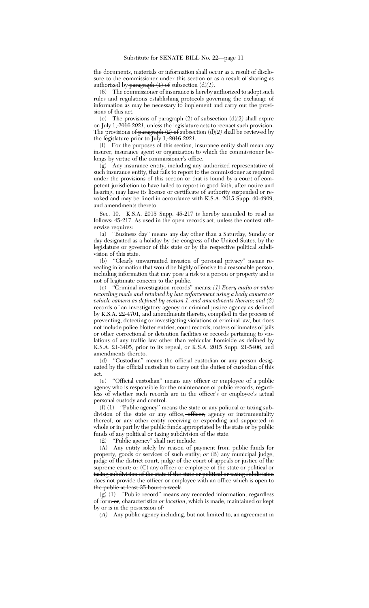the documents, materials or information shall occur as a result of disclosure to the commissioner under this section or as a result of sharing as authorized by paragraph  $(1)$  of subsection  $(d)(1)$ .

(6) The commissioner of insurance is hereby authorized to adopt such rules and regulations establishing protocols governing the exchange of information as may be necessary to implement and carry out the provisions of this act.

(e) The provisions of  $\frac{\text{parameter of}}{\text{gradient}}$  (2) of subsection (d)(2) shall expire on July 1, 2016 *2021*, unless the legislature acts to reenact such provision. The provisions of paragraph  $(2)$  of subsection  $(d)(2)$  shall be reviewed by the legislature prior to July 1, 2016 *2021*.

(f) For the purposes of this section, insurance entity shall mean any insurer, insurance agent or organization to which the commissioner belongs by virtue of the commissioner's office.

(g) Any insurance entity, including any authorized representative of such insurance entity, that fails to report to the commissioner as required under the provisions of this section or that is found by a court of competent jurisdiction to have failed to report in good faith, after notice and hearing, may have its license or certificate of authority suspended or revoked and may be fined in accordance with K.S.A. 2015 Supp. 40-4909, and amendments thereto.

Sec. 10. K.S.A. 2015 Supp. 45-217 is hereby amended to read as follows: 45-217. As used in the open records act, unless the context otherwise requires:

(a) ''Business day'' means any day other than a Saturday, Sunday or day designated as a holiday by the congress of the United States, by the legislature or governor of this state or by the respective political subdivision of this state.

(b) ''Clearly unwarranted invasion of personal privacy'' means revealing information that would be highly offensive to a reasonable person, including information that may pose a risk to a person or property and is not of legitimate concern to the public.

(c) ''Criminal investigation records'' means*: (1) Every audio or video recording made and retained by law enforcement using a body camera or vehicle camera as defined by section 1, and amendments thereto; and (2)* records of an investigatory agency or criminal justice agency as defined by K.S.A. 22-4701, and amendments thereto, compiled in the process of preventing, detecting or investigating violations of criminal law, but does not include police blotter entries, court records, rosters of inmates of jails or other correctional or detention facilities or records pertaining to violations of any traffic law other than vehicular homicide as defined by K.S.A. 21-3405, prior to its repeal, or K.S.A. 2015 Supp. 21-5406, and amendments thereto.

(d) ''Custodian'' means the official custodian or any person designated by the official custodian to carry out the duties of custodian of this act.

(e) ''Official custodian'' means any officer or employee of a public agency who is responsible for the maintenance of public records, regardless of whether such records are in the officer's or employee's actual personal custody and control.

(f) (1) ''Public agency'' means the state or any political or taxing subdivision of the state or any office, officer, agency or instrumentality thereof, or any other entity receiving or expending and supported in whole or in part by the public funds appropriated by the state or by public funds of any political or taxing subdivision of the state.

(2) ''Public agency'' shall not include:

(A) Any entity solely by reason of payment from public funds for property, goods or services of such entity; *or* (B) any municipal judge, judge of the district court, judge of the court of appeals or justice of the supreme court<del>; or (C) any officer or employee of the state or political or</del> taxing subdivision of the state if the state or political or taxing subdivision does not provide the officer or employee with an office which is open to the public at least 35 hours a week.

 $(g)$  (1) "Public record" means any recorded information, regardless of form-or, characteristics or location, which is made, maintained or kept by or is in the possession of*:*

*(A)* Any public agency including, but not limited to, an agreement in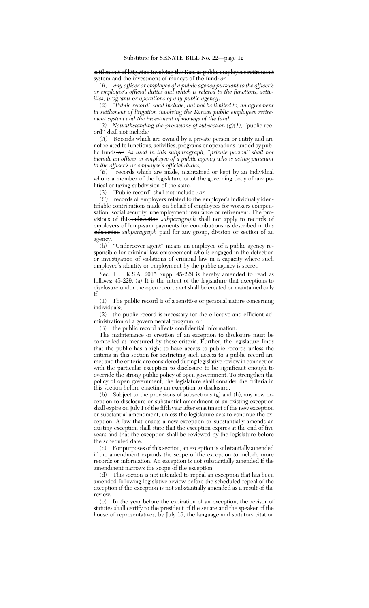settlement of litigation involving the Kansas public employees retirement system and the investment of moneys of the fund*; or*

*(B) any officer or employee of a public agency pursuant to the officer's or employee's official duties and which is related to the functions, activities, programs or operations of any public agency*.

(2) *''Public record'' shall include, but not be limited to, an agreement in settlement of litigation involving the Kansas public employees retirement system and the investment of moneys of the fund.*

*(3) Notwithstanding the provisions of subsection*  $(g)(1)$ *, "public rec*ord'' shall not include*:*

*(A)* Records which are owned by a private person or entity and are not related to functions, activities, programs or operations funded by public funds or*. As used in this subparagraph, ''private person'' shall not include an officer or employee of a public agency who is acting pursuant to the officer's or employee's official duties;*

*(B)* records which are made, maintained or kept by an individual who is a member of the legislature or of the governing body of any political or taxing subdivision of the state.

(3) ''Public record'' shall not include *; or*

*(C)* records of employers related to the employer's individually identifiable contributions made on behalf of employees for workers compensation, social security, unemployment insurance or retirement. The provisions of this-subsection subparagraph shall not apply to records of employers of lump-sum payments for contributions as described in this subsection *subparagraph* paid for any group, division or section of an agency.

(h) ''Undercover agent'' means an employee of a public agency responsible for criminal law enforcement who is engaged in the detection or investigation of violations of criminal law in a capacity where such employee's identity or employment by the public agency is secret.

Sec. 11. K.S.A. 2015 Supp. 45-229 is hereby amended to read as follows: 45-229. (a) It is the intent of the legislature that exceptions to disclosure under the open records act shall be created or maintained only if:

(1) The public record is of a sensitive or personal nature concerning individuals;

(2) the public record is necessary for the effective and efficient administration of a governmental program; or

(3) the public record affects confidential information.

The maintenance or creation of an exception to disclosure must be compelled as measured by these criteria. Further, the legislature finds that the public has a right to have access to public records unless the criteria in this section for restricting such access to a public record are met and the criteria are considered during legislative review in connection with the particular exception to disclosure to be significant enough to override the strong public policy of open government. To strengthen the policy of open government, the legislature shall consider the criteria in this section before enacting an exception to disclosure.

(b) Subject to the provisions of subsections (g) and (h), any new exception to disclosure or substantial amendment of an existing exception shall expire on July 1 of the fifth year after enactment of the new exception or substantial amendment, unless the legislature acts to continue the exception. A law that enacts a new exception or substantially amends an existing exception shall state that the exception expires at the end of five years and that the exception shall be reviewed by the legislature before the scheduled date.

(c) For purposes of this section, an exception is substantially amended if the amendment expands the scope of the exception to include more records or information. An exception is not substantially amended if the amendment narrows the scope of the exception.

(d) This section is not intended to repeal an exception that has been amended following legislative review before the scheduled repeal of the exception if the exception is not substantially amended as a result of the review.

(e) In the year before the expiration of an exception, the revisor of statutes shall certify to the president of the senate and the speaker of the house of representatives, by July 15, the language and statutory citation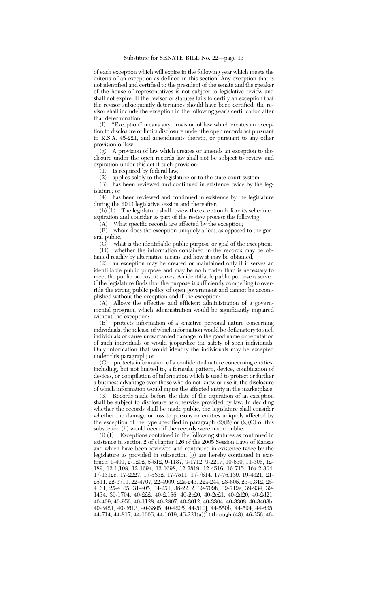of each exception which will expire in the following year which meets the criteria of an exception as defined in this section. Any exception that is not identified and certified to the president of the senate and the speaker of the house of representatives is not subject to legislative review and shall not expire. If the revisor of statutes fails to certify an exception that the revisor subsequently determines should have been certified, the revisor shall include the exception in the following year's certification after that determination.<br>(f) "Exception"

 $\lq\lq$  'Exception'' means any provision of law which creates an exception to disclosure or limits disclosure under the open records act pursuant to K.S.A. 45-221, and amendments thereto, or pursuant to any other provision of law.

(g) A provision of law which creates or amends an exception to disclosure under the open records law shall not be subject to review and expiration under this act if such provision:

(1) Is required by federal law;<br>(2) applies solely to the legisla

applies solely to the legislature or to the state court system;

(3) has been reviewed and continued in existence twice by the legislature; or

(4) has been reviewed and continued in existence by the legislature during the 2013 legislative session and thereafter.

 $(h)$  (1) The legislature shall review the exception before its scheduled expiration and consider as part of the review process the following:

(A) What specific records are affected by the exception; (B) whom does the exception uniquely affect, as opposed to the general public;

 $(\vec{C})$  what is the identifiable public purpose or goal of the exception; (D) whether the information contained in the records may be obtained readily by alternative means and how it may be obtained;

(2) an exception may be created or maintained only if it serves an identifiable public purpose and may be no broader than is necessary to meet the public purpose it serves. An identifiable public purpose is served if the legislature finds that the purpose is sufficiently compelling to override the strong public policy of open government and cannot be accomplished without the exception and if the exception:

Allows the effective and efficient administration of a governmental program, which administration would be significantly impaired without the exception;

(B) protects information of a sensitive personal nature concerning individuals, the release of which information would be defamatory to such individuals or cause unwarranted damage to the good name or reputation of such individuals or would jeopardize the safety of such individuals. Only information that would identify the individuals may be excepted under this paragraph; or

(C) protects information of a confidential nature concerning entities, including, but not limited to, a formula, pattern, device, combination of devices, or compilation of information which is used to protect or further a business advantage over those who do not know or use it, the disclosure of which information would injure the affected entity in the marketplace.

(3) Records made before the date of the expiration of an exception shall be subject to disclosure as otherwise provided by law. In deciding whether the records shall be made public, the legislature shall consider whether the damage or loss to persons or entities uniquely affected by the exception of the type specified in paragraph  $(2)(B)$  or  $(2)(C)$  of this subsection (h) would occur if the records were made public.

(i) (1) Exceptions contained in the following statutes as continued in existence in section 2 of chapter 126 of the 2005 Session Laws of Kansas and which have been reviewed and continued in existence twice by the legislature as provided in subsection (g) are hereby continued in existence: 1-401, 2-1202, 5-512, 9-1137, 9-1712, 9-2217, 10-630, 11-306, 12- 189, 12-1,108, 12-1694, 12-1698, 12-2819, 12-4516, 16-715, 16a-2-304, 17-1312e, 17-2227, 17-5832, 17-7511, 17-7514, 17-76,139, 19-4321, 21- 2511, 22-3711, 22-4707, 22-4909, 22a-243, 22a-244, 23-605, 23-9,312, 25- 4161, 25-4165, 31-405, 34-251, 38-2212, 39-709b, 39-719e, 39-934, 39- 1434, 39-1704, 40-222, 40-2,156, 40-2c20, 40-2c21, 40-2d20, 40-2d21, 40-409, 40-956, 40-1128, 40-2807, 40-3012, 40-3304, 40-3308, 40-3403b, 40-3421, 40-3613, 40-3805, 40-4205, 44-510j, 44-550b, 44-594, 44-635, 44-714, 44-817, 44-1005, 44-1019, 45-221(a)(1) through (43), 46-256, 46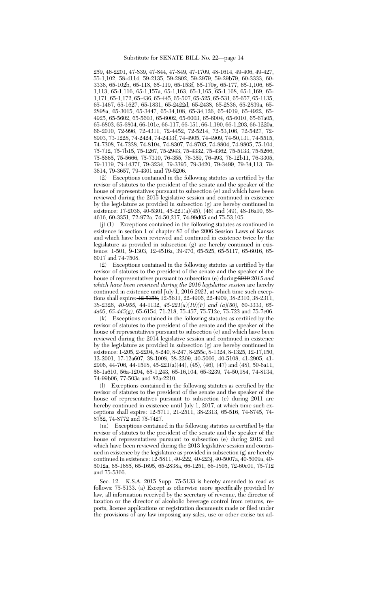259, 46-2201, 47-839, 47-844, 47-849, 47-1709, 48-1614, 49-406, 49-427, 55-1,102, 58-4114, 59-2135, 59-2802, 59-2979, 59-29b79, 60-3333, 60- 3336, 65-102b, 65-118, 65-119, 65-153f, 65-170g, 65-177, 65-1,106, 65- 1,113, 65-1,116, 65-1,157a, 65-1,163, 65-1,165, 65-1,168, 65-1,169, 65- 1,171, 65-1,172, 65-436, 65-445, 65-507, 65-525, 65-531, 65-657, 65-1135, 65-1467, 65-1627, 65-1831, 65-2422d, 65-2438, 65-2836, 65-2839a, 65- 2898a, 65-3015, 65-3447, 65-34,108, 65-34,126, 65-4019, 65-4922, 65- 4925, 65-5602, 65-5603, 65-6002, 65-6003, 65-6004, 65-6010, 65-67a05, 65-6803, 65-6804, 66-101c, 66-117, 66-151, 66-1,190, 66-1,203, 66-1220a, 66-2010, 72-996, 72-4311, 72-4452, 72-5214, 72-53,106, 72-5427, 72- 8903, 73-1228, 74-2424, 74-2433f, 74-4905, 74-4909, 74-50,131, 74-5515, 74-7308, 74-7338, 74-8104, 74-8307, 74-8705, 74-8804, 74-9805, 75-104, 75-712, 75-7b15, 75-1267, 75-2943, 75-4332, 75-4362, 75-5133, 75-5266, 75-5665, 75-5666, 75-7310, 76-355, 76-359, 76-493, 76-12b11, 76-3305, 79-1119, 79-1437f, 79-3234, 79-3395, 79-3420, 79-3499, 79-34,113, 79- 3614, 79-3657, 79-4301 and 79-5206.

(2) Exceptions contained in the following statutes as certified by the revisor of statutes to the president of the senate and the speaker of the house of representatives pursuant to subsection (e) and which have been reviewed during the 2015 legislative session and continued in existence by the legislature as provided in subsection (g) are hereby continued in existence: 17-2036, 40-5301, 45-221(a)(45), (46) and (49), 48-16a10, 58- 4616, 60-3351, 72-972a, 74-50,217, 74-99d05 and 75-53,105.

(j) (1) Exceptions contained in the following statutes as continued in existence in section 1 of chapter 87 of the 2006 Session Laws of Kansas and which have been reviewed and continued in existence twice by the legislature as provided in subsection (g) are hereby continued in existence: 1-501, 9-1303, 12-4516a, 39-970, 65-525, 65-5117, 65-6016, 65- 6017 and 74-7508.

(2) Exceptions contained in the following statutes as certified by the revisor of statutes to the president of the senate and the speaker of the house of representatives pursuant to subsection (e) during 2010 *2015 and which have been reviewed during the 2016 legislative session* are hereby continued in existence until July 1, 2016 *2021*, at which time such exceptions shall expire: 12-5358, 12-5611, 22-4906, 22-4909, 38-2310, 38-2311, 38-2326, *40-955,* 44-1132, *45-221(a)(10)(F) and (a)(50),* 60-3333, *65- 4a05, 65-445(g),* 65-6154, 71-218, 75-457, 75-712c, 75-723 and 75-7c06.

(k) Exceptions contained in the following statutes as certified by the revisor of statutes to the president of the senate and the speaker of the house of representatives pursuant to subsection (e) and which have been reviewed during the 2014 legislative session and continued in existence by the legislature as provided in subsection (g) are hereby continued in existence: 1-205, 2-2204, 8-240, 8-247, 8-255c, 8-1324, 8-1325, 12-17,150, 12-2001, 17-12a607, 38-1008, 38-2209, 40-5006, 40-5108, 41-2905, 41- 2906, 44-706, 44-1518, 45-221(a)(44), (45), (46), (47) and (48), 50-6a11, 56-1a610, 56a-1204, 65-1,243, 65-16,104, 65-3239, 74-50,184, 74-8134, 74-99b06, 77-503a and 82a-2210.

(l) Exceptions contained in the following statutes as certified by the revisor of statutes to the president of the senate and the speaker of the house of representatives pursuant to subsection (e) during 2011 are hereby continued in existence until July 1, 2017, at which time such exceptions shall expire: 12-5711, 21-2511, 38-2313, 65-516, 74-8745, 74- 8752, 74-8772 and 75-7427.

(m) Exceptions contained in the following statutes as certified by the revisor of statutes to the president of the senate and the speaker of the house of representatives pursuant to subsection (e) during 2012 and which have been reviewed during the 2013 legislative session and continued in existence by the legislature as provided in subsection (g) are hereby continued in existence: 12-5811, 40-222, 40-223j, 40-5007a, 40-5009a, 40- 5012a, 65-1685, 65-1695, 65-2838a, 66-1251, 66-1805, 72-60c01, 75-712 and 75-5366.

Sec. 12. K.S.A. 2015 Supp. 75-5133 is hereby amended to read as follows: 75-5133. (a) Except as otherwise more specifically provided by law, all information received by the secretary of revenue, the director of taxation or the director of alcoholic beverage control from returns, reports, license applications or registration documents made or filed under the provisions of any law imposing any sales, use or other excise tax ad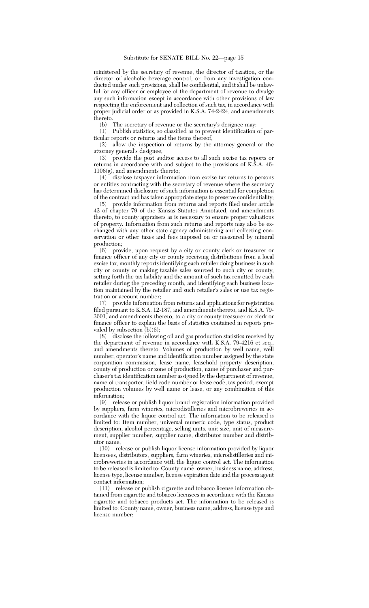ministered by the secretary of revenue, the director of taxation, or the director of alcoholic beverage control, or from any investigation conducted under such provisions, shall be confidential, and it shall be unlawful for any officer or employee of the department of revenue to divulge any such information except in accordance with other provisions of law respecting the enforcement and collection of such tax, in accordance with proper judicial order or as provided in K.S.A. 74-2424, and amendments thereto.

(b) The secretary of revenue or the secretary's designee may:

(1) Publish statistics, so classified as to prevent identification of particular reports or returns and the items thereof;

(2) allow the inspection of returns by the attorney general or the attorney general's designee;

(3) provide the post auditor access to all such excise tax reports or returns in accordance with and subject to the provisions of K.S.A. 46- 1106(g), and amendments thereto;

 $(4)$  disclose taxpayer information from excise tax returns to persons or entities contracting with the secretary of revenue where the secretary has determined disclosure of such information is essential for completion of the contract and has taken appropriate steps to preserve confidentiality;

(5) provide information from returns and reports filed under article 42 of chapter 79 of the Kansas Statutes Annotated, and amendments thereto, to county appraisers as is necessary to ensure proper valuations of property. Information from such returns and reports may also be exchanged with any other state agency administering and collecting conservation or other taxes and fees imposed on or measured by mineral production;

(6) provide, upon request by a city or county clerk or treasurer or finance officer of any city or county receiving distributions from a local excise tax, monthly reports identifying each retailer doing business in such city or county or making taxable sales sourced to such city or county, setting forth the tax liability and the amount of such tax remitted by each retailer during the preceding month, and identifying each business location maintained by the retailer and such retailer's sales or use tax registration or account number;

(7) provide information from returns and applications for registration filed pursuant to K.S.A. 12-187, and amendments thereto, and K.S.A. 79-3601, and amendments thereto, to a city or county treasurer or clerk or finance officer to explain the basis of statistics contained in reports provided by subsection  $(b)(6)$ ;

(8) disclose the following oil and gas production statistics received by the department of revenue in accordance with K.S.A. 79-4216 et seq*.*, and amendments thereto: Volumes of production by well name, well number, operator's name and identification number assigned by the state corporation commission, lease name, leasehold property description, county of production or zone of production, name of purchaser and purchaser's tax identification number assigned by the department of revenue, name of transporter, field code number or lease code, tax period, exempt production volumes by well name or lease, or any combination of this information;

(9) release or publish liquor brand registration information provided by suppliers, farm wineries, microdistilleries and microbreweries in accordance with the liquor control act. The information to be released is limited to: Item number, universal numeric code, type status, product description, alcohol percentage, selling units, unit size, unit of measurement, supplier number, supplier name, distributor number and distributor name;

(10) release or publish liquor license information provided by liquor licensees, distributors, suppliers, farm wineries, microdistilleries and microbreweries in accordance with the liquor control act. The information to be released is limited to: County name, owner, business name, address, license type, license number, license expiration date and the process agent contact information;

(11) release or publish cigarette and tobacco license information obtained from cigarette and tobacco licensees in accordance with the Kansas cigarette and tobacco products act. The information to be released is limited to: County name, owner, business name, address, license type and license number;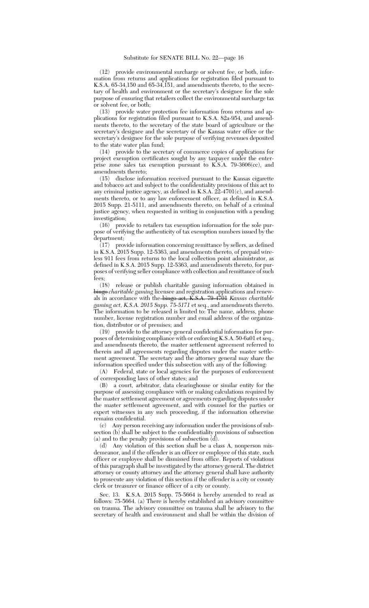(12) provide environmental surcharge or solvent fee, or both, information from returns and applications for registration filed pursuant to K.S.A. 65-34,150 and 65-34,151, and amendments thereto, to the secretary of health and environment or the secretary's designee for the sole purpose of ensuring that retailers collect the environmental surcharge tax or solvent fee, or both;

(13) provide water protection fee information from returns and applications for registration filed pursuant to K.S.A. 82a-954, and amendments thereto, to the secretary of the state board of agriculture or the secretary's designee and the secretary of the Kansas water office or the secretary's designee for the sole purpose of verifying revenues deposited to the state water plan fund;

(14) provide to the secretary of commerce copies of applications for project exemption certificates sought by any taxpayer under the enterprise zone sales tax exemption pursuant to K.S.A. 79-3606(cc), and amendments thereto;

(15) disclose information received pursuant to the Kansas cigarette and tobacco act and subject to the confidentiality provisions of this act to any criminal justice agency, as defined in K.S.A. 22-4701(c), and amendments thereto, or to any law enforcement officer, as defined in K.S.A. 2015 Supp. 21-5111, and amendments thereto, on behalf of a criminal justice agency, when requested in writing in conjunction with a pending investigation;

(16) provide to retailers tax exemption information for the sole purpose of verifying the authenticity of tax exemption numbers issued by the department;

(17) provide information concerning remittance by sellers, as defined in K.S.A. 2015 Supp. 12-5363, and amendments thereto, of prepaid wireless 911 fees from returns to the local collection point administrator, as defined in K.S.A. 2015 Supp. 12-5363, and amendments thereto, for purdefined in K.S.A. 2015 Supp. 12-5363, and amendments thereto, for purposes of verifying seller compliance with collection and remittance of such fees;

(18) release or publish charitable gaming information obtained in bingo *charitable gaming* licensee and registration applications and renewals in accordance with the bingo act, K.S.A. 79-4701 *Kansas charitable gaming act, K.S.A. 2015 Supp. 75-5171* et seq*.*, and amendments thereto. The information to be released is limited to: The name, address, phone number, license registration number and email address of the organization, distributor or of premises; and

provide to the attorney general confidential information for purposes of determining compliance with or enforcing K.S.A. 50-6a01 et seq., and amendments thereto, the master settlement agreement referred to therein and all agreements regarding disputes under the master settlement agreement. The secretary and the attorney general may share the information specified under this subsection with any of the following:

(A) Federal, state or local agencies for the purposes of enforcement of corresponding laws of other states; and

(B) a court, arbitrator, data clearinghouse or similar entity for the purpose of assessing compliance with or making calculations required by the master settlement agreement or agreements regarding disputes under the master settlement agreement, and with counsel for the parties or expert witnesses in any such proceeding, if the information otherwise remains confidential.

(c) Any person receiving any information under the provisions of subsection (b) shall be subject to the confidentiality provisions of subsection (a) and to the penalty provisions of subsection (d).

(d) Any violation of this section shall be a class A, nonperson misdemeanor, and if the offender is an officer or employee of this state, such officer or employee shall be dismissed from office. Reports of violations of this paragraph shall be investigated by the attorney general. The district attorney or county attorney and the attorney general shall have authority to prosecute any violation of this section if the offender is a city or county clerk or treasurer or finance officer of a city or county.

Sec. 13. K.S.A. 2015 Supp. 75-5664 is hereby amended to read as follows: 75-5664. (a) There is hereby established an advisory committee on trauma. The advisory committee on trauma shall be advisory to the secretary of health and environment and shall be within the division of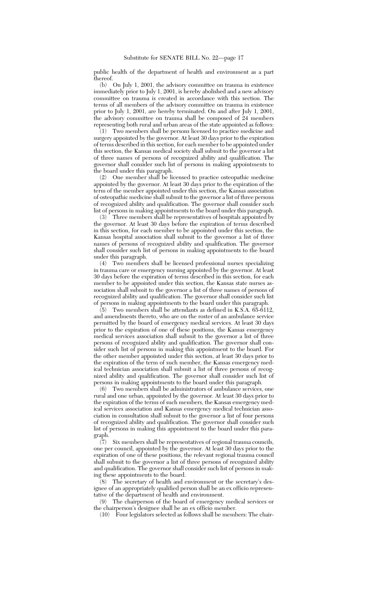public health of the department of health and environment as a part thereof.

(b) On July 1, 2001, the advisory committee on trauma in existence immediately prior to July 1, 2001, is hereby abolished and a new advisory committee on trauma is created in accordance with this section. The terms of all members of the advisory committee on trauma in existence prior to July 1, 2001, are hereby terminated. On and after July 1, 2001, the advisory committee on trauma shall be composed of 24 members representing both rural and urban areas of the state appointed as follows:

(1) Two members shall be persons licensed to practice medicine and surgery appointed by the governor. At least 30 days prior to the expiration of terms described in this section, for each member to be appointed under this section, the Kansas medical society shall submit to the governor a list of three names of persons of recognized ability and qualification. The governor shall consider such list of persons in making appointments to the board under this paragraph.

(2) One member shall be licensed to practice osteopathic medicine appointed by the governor. At least 30 days prior to the expiration of the term of the member appointed under this section, the Kansas association of osteopathic medicine shall submit to the governor a list of three persons of recognized ability and qualification. The governor shall consider such list of persons in making appointments to the board under this paragraph.

(3) Three members shall be representatives of hospitals appointed by the governor. At least 30 days before the expiration of terms described in this section, for each member to be appointed under this section, the Kansas hospital association shall submit to the governor a list of three names of persons of recognized ability and qualification. The governor shall consider such list of persons in making appointments to the board under this paragraph.

(4) Two members shall be licensed professional nurses specializing in trauma care or emergency nursing appointed by the governor. At least 30 days before the expiration of terms described in this section, for each member to be appointed under this section, the Kansas state nurses association shall submit to the governor a list of three names of persons of recognized ability and qualification. The governor shall consider such list of persons in making appointments to the board under this paragraph.

(5) Two members shall be attendants as defined in K.S.A. 65-6112, and amendments thereto, who are on the roster of an ambulance service permitted by the board of emergency medical services. At least 30 days prior to the expiration of one of these positions, the Kansas emergency medical services association shall submit to the governor a list of three persons of recognized ability and qualification. The governor shall consider such list of persons in making this appointment to the board. For the other member appointed under this section, at least 30 days prior to the expiration of the term of such member, the Kansas emergency medical technician association shall submit a list of three persons of recognized ability and qualification. The governor shall consider such list of persons in making appointments to the board under this paragraph.

(6) Two members shall be administrators of ambulance services, one rural and one urban, appointed by the governor. At least 30 days prior to the expiration of the terms of such members, the Kansas emergency medical services association and Kansas emergency medical technician association in consultation shall submit to the governor a list of four persons of recognized ability and qualification. The governor shall consider such list of persons in making this appointment to the board under this paragraph.

(7) Six members shall be representatives of regional trauma councils, one per council, appointed by the governor. At least 30 days prior to the expiration of one of these positions, the relevant regional trauma council shall submit to the governor a list of three persons of recognized ability and qualification. The governor shall consider such list of persons in making these appointments to the board.

(8) The secretary of health and environment or the secretary's designee of an appropriately qualified person shall be an ex officio representative of the department of health and environment.

(9) The chairperson of the board of emergency medical services or the chairperson's designee shall be an ex officio member.

(10) Four legislators selected as follows shall be members: The chair-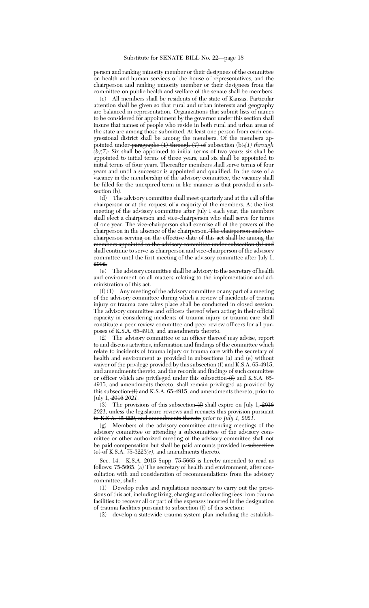person and ranking minority member or their designees of the committee on health and human services of the house of representatives, and the chairperson and ranking minority member or their designees from the committee on public health and welfare of the senate shall be members.

(c) All members shall be residents of the state of Kansas. Particular attention shall be given so that rural and urban interests and geography are balanced in representation. Organizations that submit lists of names to be considered for appointment by the governor under this section shall insure that names of people who reside in both rural and urban areas of the state are among those submitted. At least one person from each congressional district shall be among the members. Of the members appointed under paragraphs (1) through (7) of subsection (b),*(1) through*  $(b)(7)$ : Six shall be appointed to initial terms of two years; six shall be appointed to initial terms of three years; and six shall be appointed to initial terms of four years. Thereafter members shall serve terms of four years and until a successor is appointed and qualified. In the case of a vacancy in the membership of the advisory committee, the vacancy shall be filled for the unexpired term in like manner as that provided in subsection (b).

(d) The advisory committee shall meet quarterly and at the call of the chairperson or at the request of a majority of the members. At the first meeting of the advisory committee after July 1 each year, the members shall elect a chairperson and vice-chairperson who shall serve for terms of one year. The vice-chairperson shall exercise all of the powers of the chairperson in the absence of the chairperson. The chairperson and vicechairperson serving on the effective date of this act shall be among the members appointed to the advisory committee under subsection (b) and shall continue to serve as chairperson and vice-chairperson of the advisory committee until the first meeting of the advisory committee after July 1, 2002.

(e) The advisory committee shall be advisory to the secretary of health and environment on all matters relating to the implementation and administration of this act.

(f) (1) Any meeting of the advisory committee or any part of a meeting of the advisory committee during which a review of incidents of trauma injury or trauma care takes place shall be conducted in closed session. The advisory committee and officers thereof when acting in their official capacity in considering incidents of trauma injury or trauma care shall constitute a peer review committee and peer review officers for all purposes of K.S.A. 65-4915, and amendments thereto.

(2) The advisory committee or an officer thereof may advise, report to and discuss activities, information and findings of the committee which relate to incidents of trauma injury or trauma care with the secretary of health and environment as provided in subsections (a) and (e) without waiver of the privilege provided by this subsection  $(f)$  and K.S.A. 65-4915, and amendments thereto, and the records and findings of such committee or officer which are privileged under this subsection  $(f)$  and K.S.A. 65-4915, and amendments thereto, shall remain privileged as provided by this subsection  $(f)$  and K.S.A. 65-4915, and amendments thereto, prior to July 1, 2016 *2021*.

(3) The provisions of this subsection  $(f)$  shall expire on July 1, 2016 2021, unless the legislature reviews and reenacts this provision pursuant to K.S.A. 45-229, and amendments thereto *prior to July 1, 2021*.

(g) Members of the advisory committee attending meetings of the advisory committee or attending a subcommittee of the advisory committee or other authorized meeting of the advisory committee shall not be paid compensation but shall be paid amounts provided in-subsection  $\overrightarrow{e}$  of K.S.A. 75-3223 $(e)$ , and amendments thereto.

Sec. 14. K.S.A. 2015 Supp. 75-5665 is hereby amended to read as follows: 75-5665. (a) The secretary of health and environment, after consultation with and consideration of recommendations from the advisory committee, shall:

(1) Develop rules and regulations necessary to carry out the provisions of this act, including fixing, charging and collecting fees from trauma facilities to recover all or part of the expenses incurred in the designation of trauma facilities pursuant to subsection (f) of this section;

(2) develop a statewide trauma system plan including the establish-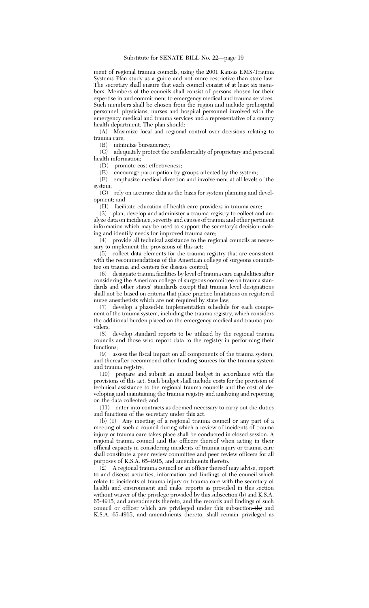ment of regional trauma councils, using the 2001 Kansas EMS-Trauma Systems Plan study as a guide and not more restrictive than state law. The secretary shall ensure that each council consist of at least six members. Members of the councils shall consist of persons chosen for their expertise in and commitment to emergency medical and trauma services. Such members shall be chosen from the region and include prehospital personnel, physicians, nurses and hospital personnel involved with the emergency medical and trauma services and a representative of a county health department. The plan should:

(A) Maximize local and regional control over decisions relating to trauma care;

(B) minimize bureaucracy;

(C) adequately protect the confidentiality of proprietary and personal health information;

(D) promote cost effectiveness;

(E) encourage participation by groups affected by the system;

(F) emphasize medical direction and involvement at all levels of the system;

(G) rely on accurate data as the basis for system planning and development; and

(H) facilitate education of health care providers in trauma care;

(3) plan, develop and administer a trauma registry to collect and analyze data on incidence, severity and causes of trauma and other pertinent information which may be used to support the secretary's decision-making and identify needs for improved trauma care;

(4) provide all technical assistance to the regional councils as necessary to implement the provisions of this act;

(5) collect data elements for the trauma registry that are consistent with the recommendations of the American college of surgeons committee on trauma and centers for disease control;

(6) designate trauma facilities by level of trauma care capabilities after considering the American college of surgeons committee on trauma standards and other states' standards except that trauma level designations shall not be based on criteria that place practice limitations on registered nurse anesthetists which are not required by state law;

(7) develop a phased-in implementation schedule for each component of the trauma system, including the trauma registry, which considers the additional burden placed on the emergency medical and trauma providers;

(8) develop standard reports to be utilized by the regional trauma councils and those who report data to the registry in performing their functions;<br>(9) ass

assess the fiscal impact on all components of the trauma system, and thereafter recommend other funding sources for the trauma system and trauma registry;

(10) prepare and submit an annual budget in accordance with the provisions of this act. Such budget shall include costs for the provision of technical assistance to the regional trauma councils and the cost of developing and maintaining the trauma registry and analyzing and reporting on the data collected; and

(11) enter into contracts as deemed necessary to carry out the duties and functions of the secretary under this act.

(b) (1) Any meeting of a regional trauma council or any part of a meeting of such a council during which a review of incidents of trauma injury or trauma care takes place shall be conducted in closed session. A regional trauma council and the officers thereof when acting in their official capacity in considering incidents of trauma injury or trauma care shall constitute a peer review committee and peer review officers for all purposes of K.S.A. 65-4915, and amendments thereto.

(2) A regional trauma council or an officer thereof may advise, report to and discuss activities, information and findings of the council which relate to incidents of trauma injury or trauma care with the secretary of health and environment and make reports as provided in this section without waiver of the privilege provided by this subsection  $\leftrightarrow$  and K.S.A. 65-4915, and amendments thereto, and the records and findings of such council or officer which are privileged under this subsection-(b) and K.S.A. 65-4915, and amendments thereto, shall remain privileged as